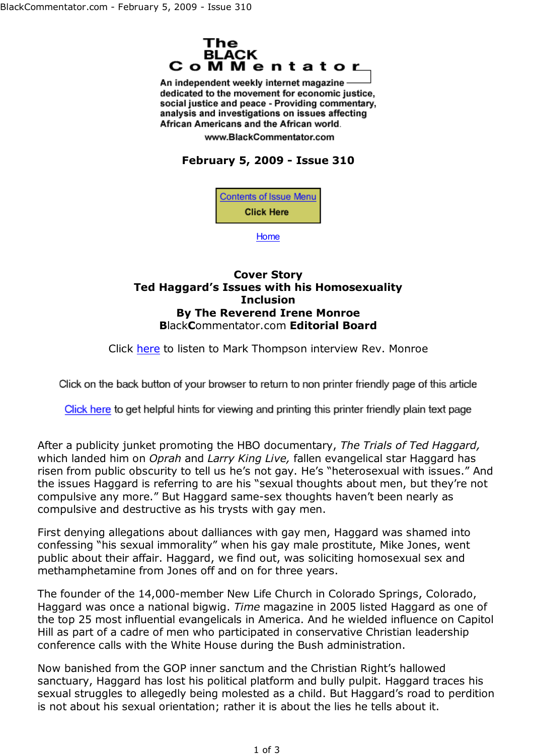

An independent weekly internet magazine dedicated to the movement for economic justice. social justice and peace - Providing commentary, analysis and investigations on issues affecting African Americans and the African world.

www.BlackCommentator.com

## **February 5, 2009 - Issue 310**

**Contents of Issue Menu Click Here** 

Home

## **Cover Story Ted Haggard's Issues with his Homosexuality Inclusion By The Reverend Irene Monroe B**lack**C**ommentator.com **Editorial Board**

Click here to listen to Mark Thompson interview Rev. Monroe

Click on the back button of your browser to return to non printer friendly page of this article

Click here to get helpful hints for viewing and printing this printer friendly plain text page

After a publicity junket promoting the HBO documentary, *The Trials of Ted Haggard,* which landed him on *Oprah* and *Larry King Live,* fallen evangelical star Haggard has risen from public obscurity to tell us he's not gay. He's "heterosexual with issues." And the issues Haggard is referring to are his "sexual thoughts about men, but they're not compulsive any more." But Haggard same-sex thoughts haven't been nearly as compulsive and destructive as his trysts with gay men.

First denying allegations about dalliances with gay men, Haggard was shamed into confessing "his sexual immorality" when his gay male prostitute, Mike Jones, went public about their affair. Haggard, we find out, was soliciting homosexual sex and methamphetamine from Jones off and on for three years.

The founder of the 14,000-member New Life Church in Colorado Springs, Colorado, Haggard was once a national bigwig. *Time* magazine in 2005 listed Haggard as one of the top 25 most influential evangelicals in America. And he wielded influence on Capitol Hill as part of a cadre of men who participated in conservative Christian leadership conference calls with the White House during the Bush administration.

Now banished from the GOP inner sanctum and the Christian Right's hallowed sanctuary, Haggard has lost his political platform and bully pulpit. Haggard traces his sexual struggles to allegedly being molested as a child. But Haggard's road to perdition is not about his sexual orientation; rather it is about the lies he tells about it.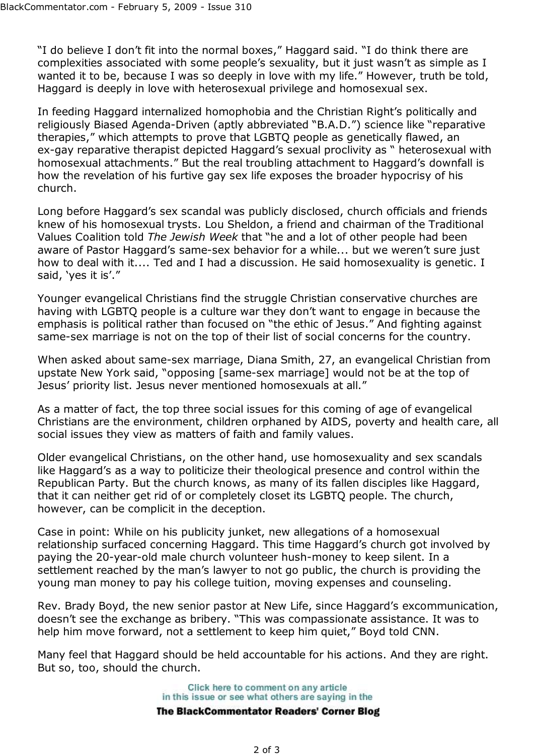"I do believe I don't fit into the normal boxes," Haggard said. "I do think there are complexities associated with some people's sexuality, but it just wasn't as simple as I wanted it to be, because I was so deeply in love with my life." However, truth be told, Haggard is deeply in love with heterosexual privilege and homosexual sex.

In feeding Haggard internalized homophobia and the Christian Right's politically and religiously Biased Agenda-Driven (aptly abbreviated "B.A.D.") science like "reparative therapies," which attempts to prove that LGBTQ people as genetically flawed, an ex-gay reparative therapist depicted Haggard's sexual proclivity as " heterosexual with homosexual attachments." But the real troubling attachment to Haggard's downfall is how the revelation of his furtive gay sex life exposes the broader hypocrisy of his church.

Long before Haggard's sex scandal was publicly disclosed, church officials and friends knew of his homosexual trysts. Lou Sheldon, a friend and chairman of the Traditional Values Coalition told *The Jewish Week* that "he and a lot of other people had been aware of Pastor Haggard's same-sex behavior for a while... but we weren't sure just how to deal with it.... Ted and I had a discussion. He said homosexuality is genetic. I said, 'yes it is'."

Younger evangelical Christians find the struggle Christian conservative churches are having with LGBTQ people is a culture war they don't want to engage in because the emphasis is political rather than focused on "the ethic of Jesus." And fighting against same-sex marriage is not on the top of their list of social concerns for the country.

When asked about same-sex marriage, Diana Smith, 27, an evangelical Christian from upstate New York said, "opposing [same-sex marriage] would not be at the top of Jesus' priority list. Jesus never mentioned homosexuals at all."

As a matter of fact, the top three social issues for this coming of age of evangelical Christians are the environment, children orphaned by AIDS, poverty and health care, all social issues they view as matters of faith and family values.

Older evangelical Christians, on the other hand, use homosexuality and sex scandals like Haggard's as a way to politicize their theological presence and control within the Republican Party. But the church knows, as many of its fallen disciples like Haggard, that it can neither get rid of or completely closet its LGBTQ people. The church, however, can be complicit in the deception.

Case in point: While on his publicity junket, new allegations of a homosexual relationship surfaced concerning Haggard. This time Haggard's church got involved by paying the 20-year-old male church volunteer hush-money to keep silent. In a settlement reached by the man's lawyer to not go public, the church is providing the young man money to pay his college tuition, moving expenses and counseling.

Rev. Brady Boyd, the new senior pastor at New Life, since Haggard's excommunication, doesn't see the exchange as bribery. "This was compassionate assistance. It was to help him move forward, not a settlement to keep him quiet," Boyd told CNN.

Many feel that Haggard should be held accountable for his actions. And they are right. But so, too, should the church.

> Click here to comment on any article in this issue or see what others are saying in the The BlackCommentator Readers' Corner Blog